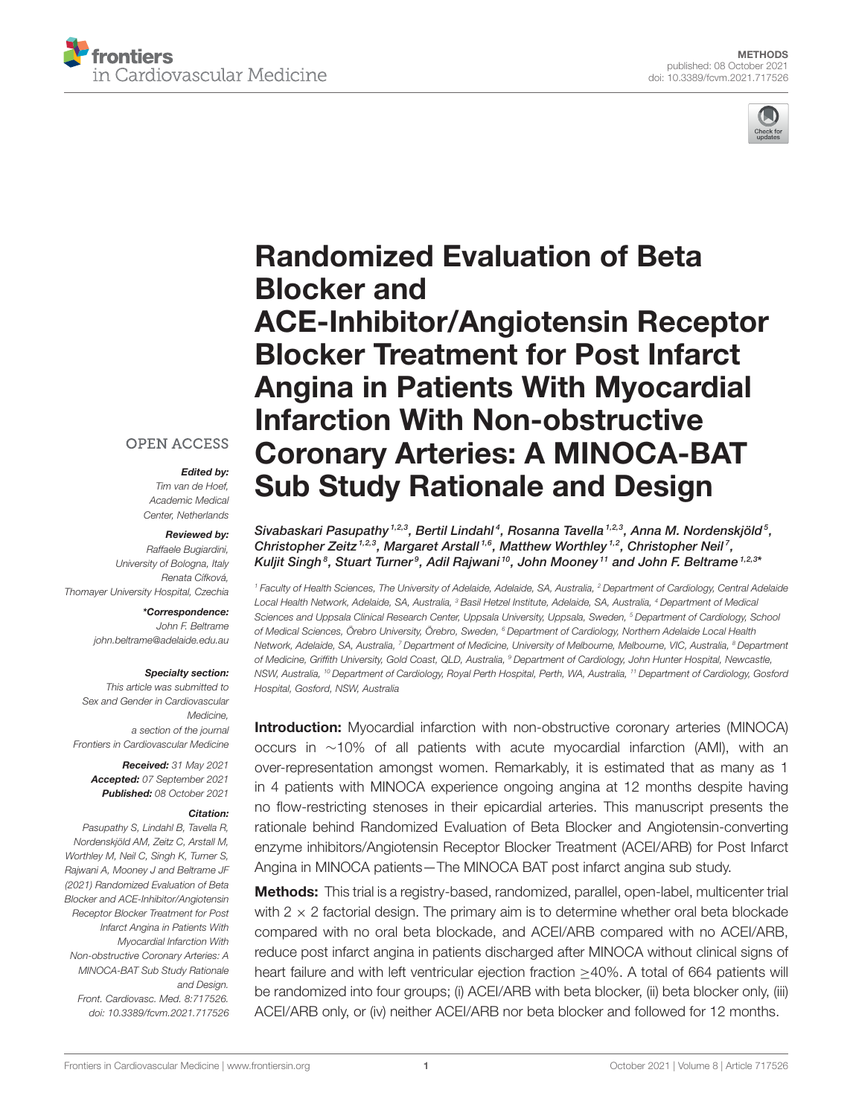



# Randomized Evaluation of Beta Blocker and [ACE-Inhibitor/Angiotensin Receptor](https://www.frontiersin.org/articles/10.3389/fcvm.2021.717526/full) Blocker Treatment for Post Infarct Angina in Patients With Myocardial Infarction With Non-obstructive Coronary Arteries: A MINOCA-BAT Sub Study Rationale and Design

#### Sivabaskari Pasupathy  $^{1,2,3}$ , Bertil Lindahl $^4$ , Rosanna Tavella  $^{1,2,3}$ , Anna M. Nordenskjöld $^5$ , Christopher Zeitz<sup>1,2,3</sup>, Margaret Arstall<sup>1,6</sup>, Matthew Worthley<sup>1,2</sup>, Christopher Neil<sup>7</sup>, Kuljit Singh $^8$ , Stuart Turner $^9$ , Adil Rajwani  $^{10}$ , John Mooney  $^{11}$  and John F. Beltrame 1,2,3ª

<sup>1</sup> Faculty of Health Sciences, The University of Adelaide, Adelaide, SA, Australia, <sup>2</sup> Department of Cardiology, Central Adelaide Local Health Network, Adelaide, SA, Australia, <sup>3</sup> Basil Hetzel Institute, Adelaide, SA, Australia, <sup>4</sup> Department of Medical Sciences and Uppsala Clinical Research Center, Uppsala University, Uppsala, Sweden, <sup>5</sup> Department of Cardiology, School of Medical Sciences, Örebro University, Örebro, Sweden, <sup>6</sup> Department of Cardiology, Northern Adelaide Local Health Network, Adelaide, SA, Australia, 7 Department of Medicine, University of Melbourne, Melbourne, VIC, Australia, <sup>8</sup> Department of Medicine, Griffith University, Gold Coast, QLD, Australia, <sup>9</sup> Department of Cardiology, John Hunter Hospital, Newcastle, NSW, Australia, <sup>10</sup> Department of Cardiology, Royal Perth Hospital, Perth, WA, Australia, <sup>11</sup> Department of Cardiology, Gosford Hospital, Gosford, NSW, Australia

Introduction: Myocardial infarction with non-obstructive coronary arteries (MINOCA) occurs in ∼10% of all patients with acute myocardial infarction (AMI), with an over-representation amongst women. Remarkably, it is estimated that as many as 1 in 4 patients with MINOCA experience ongoing angina at 12 months despite having no flow-restricting stenoses in their epicardial arteries. This manuscript presents the rationale behind Randomized Evaluation of Beta Blocker and Angiotensin-converting enzyme inhibitors/Angiotensin Receptor Blocker Treatment (ACEI/ARB) for Post Infarct Angina in MINOCA patients—The MINOCA BAT post infarct angina sub study.

Methods: This trial is a registry-based, randomized, parallel, open-label, multicenter trial with  $2 \times 2$  factorial design. The primary aim is to determine whether oral beta blockade compared with no oral beta blockade, and ACEI/ARB compared with no ACEI/ARB, reduce post infarct angina in patients discharged after MINOCA without clinical signs of heart failure and with left ventricular ejection fraction ≥40%. A total of 664 patients will be randomized into four groups; (i) ACEI/ARB with beta blocker, (ii) beta blocker only, (iii) ACEI/ARB only, or (iv) neither ACEI/ARB nor beta blocker and followed for 12 months.

### **OPEN ACCESS**

#### Edited by:

Tim van de Hoef, Academic Medical Center, Netherlands

#### Reviewed by:

Raffaele Bugiardini, University of Bologna, Italy Renata Cífková, Thomayer University Hospital, Czechia

\*Correspondence:

John F. Beltrame [john.beltrame@adelaide.edu.au](mailto:john.beltrame@adelaide.edu.au)

#### Specialty section:

This article was submitted to Sex and Gender in Cardiovascular Medicine, a section of the journal Frontiers in Cardiovascular Medicine

Received: 31 May 2021 Accepted: 07 September 2021 Published: 08 October 2021

#### Citation:

Pasupathy S, Lindahl B, Tavella R, Nordenskjöld AM, Zeitz C, Arstall M, Worthley M, Neil C, Singh K, Turner S, Rajwani A, Mooney J and Beltrame JF (2021) Randomized Evaluation of Beta Blocker and ACE-Inhibitor/Angiotensin Receptor Blocker Treatment for Post Infarct Angina in Patients With Myocardial Infarction With Non-obstructive Coronary Arteries: A MINOCA-BAT Sub Study Rationale and Design. Front. Cardiovasc. Med. 8:717526. doi: [10.3389/fcvm.2021.717526](https://doi.org/10.3389/fcvm.2021.717526)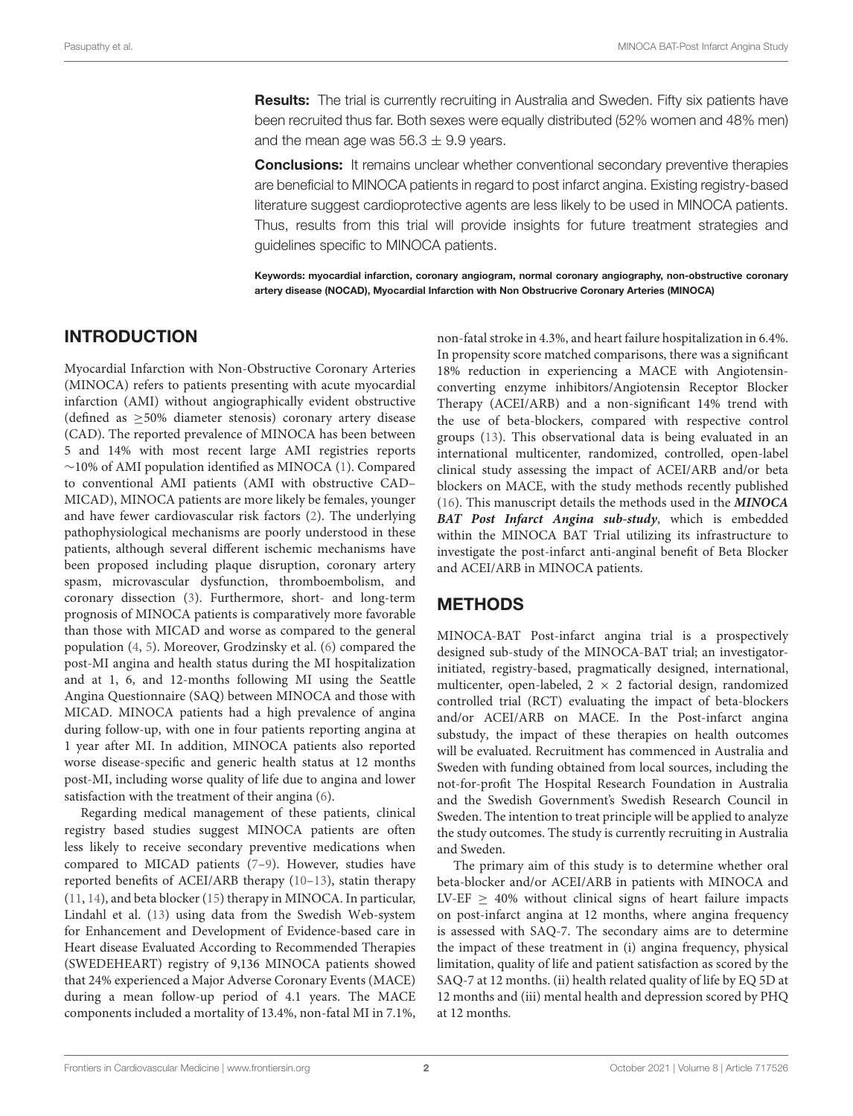**Results:** The trial is currently recruiting in Australia and Sweden. Fifty six patients have been recruited thus far. Both sexes were equally distributed (52% women and 48% men) and the mean age was  $56.3 \pm 9.9$  years.

**Conclusions:** It remains unclear whether conventional secondary preventive therapies are beneficial to MINOCA patients in regard to post infarct angina. Existing registry-based literature suggest cardioprotective agents are less likely to be used in MINOCA patients. Thus, results from this trial will provide insights for future treatment strategies and guidelines specific to MINOCA patients.

Keywords: myocardial infarction, coronary angiogram, normal coronary angiography, non-obstructive coronary artery disease (NOCAD), Myocardial Infarction with Non Obstrucrive Coronary Arteries (MINOCA)

### INTRODUCTION

Myocardial Infarction with Non-Obstructive Coronary Arteries (MINOCA) refers to patients presenting with acute myocardial infarction (AMI) without angiographically evident obstructive (defined as ≥50% diameter stenosis) coronary artery disease (CAD). The reported prevalence of MINOCA has been between 5 and 14% with most recent large AMI registries reports ∼10% of AMI population identified as MINOCA [\(1\)](#page-5-0). Compared to conventional AMI patients (AMI with obstructive CAD– MICAD), MINOCA patients are more likely be females, younger and have fewer cardiovascular risk factors [\(2\)](#page-5-1). The underlying pathophysiological mechanisms are poorly understood in these patients, although several different ischemic mechanisms have been proposed including plaque disruption, coronary artery spasm, microvascular dysfunction, thromboembolism, and coronary dissection [\(3\)](#page-5-2). Furthermore, short- and long-term prognosis of MINOCA patients is comparatively more favorable than those with MICAD and worse as compared to the general population [\(4,](#page-5-3) [5\)](#page-5-4). Moreover, Grodzinsky et al. [\(6\)](#page-5-5) compared the post-MI angina and health status during the MI hospitalization and at 1, 6, and 12-months following MI using the Seattle Angina Questionnaire (SAQ) between MINOCA and those with MICAD. MINOCA patients had a high prevalence of angina during follow-up, with one in four patients reporting angina at 1 year after MI. In addition, MINOCA patients also reported worse disease-specific and generic health status at 12 months post-MI, including worse quality of life due to angina and lower satisfaction with the treatment of their angina [\(6\)](#page-5-5).

Regarding medical management of these patients, clinical registry based studies suggest MINOCA patients are often less likely to receive secondary preventive medications when compared to MICAD patients [\(7](#page-5-6)[–9\)](#page-5-7). However, studies have reported benefits of ACEI/ARB therapy [\(10](#page-5-8)[–13\)](#page-5-9), statin therapy [\(11,](#page-5-10) [14\)](#page-5-11), and beta blocker [\(15\)](#page-5-12) therapy in MINOCA. In particular, Lindahl et al. [\(13\)](#page-5-9) using data from the Swedish Web-system for Enhancement and Development of Evidence-based care in Heart disease Evaluated According to Recommended Therapies (SWEDEHEART) registry of 9,136 MINOCA patients showed that 24% experienced a Major Adverse Coronary Events (MACE) during a mean follow-up period of 4.1 years. The MACE components included a mortality of 13.4%, non-fatal MI in 7.1%, non-fatal stroke in 4.3%, and heart failure hospitalization in 6.4%. In propensity score matched comparisons, there was a significant 18% reduction in experiencing a MACE with Angiotensinconverting enzyme inhibitors/Angiotensin Receptor Blocker Therapy (ACEI/ARB) and a non-significant 14% trend with the use of beta-blockers, compared with respective control groups [\(13\)](#page-5-9). This observational data is being evaluated in an international multicenter, randomized, controlled, open-label clinical study assessing the impact of ACEI/ARB and/or beta blockers on MACE, with the study methods recently published [\(16\)](#page-5-13). This manuscript details the methods used in the **MINOCA BAT Post Infarct Angina sub-study**, which is embedded within the MINOCA BAT Trial utilizing its infrastructure to investigate the post-infarct anti-anginal benefit of Beta Blocker and ACEI/ARB in MINOCA patients.

## **METHODS**

MINOCA-BAT Post-infarct angina trial is a prospectively designed sub-study of the MINOCA-BAT trial; an investigatorinitiated, registry-based, pragmatically designed, international, multicenter, open-labeled,  $2 \times 2$  factorial design, randomized controlled trial (RCT) evaluating the impact of beta-blockers and/or ACEI/ARB on MACE. In the Post-infarct angina substudy, the impact of these therapies on health outcomes will be evaluated. Recruitment has commenced in Australia and Sweden with funding obtained from local sources, including the not-for-profit The Hospital Research Foundation in Australia and the Swedish Government's Swedish Research Council in Sweden. The intention to treat principle will be applied to analyze the study outcomes. The study is currently recruiting in Australia and Sweden.

The primary aim of this study is to determine whether oral beta-blocker and/or ACEI/ARB in patients with MINOCA and LV-EF  $\geq$  40% without clinical signs of heart failure impacts on post-infarct angina at 12 months, where angina frequency is assessed with SAQ-7. The secondary aims are to determine the impact of these treatment in (i) angina frequency, physical limitation, quality of life and patient satisfaction as scored by the SAQ-7 at 12 months. (ii) health related quality of life by EQ 5D at 12 months and (iii) mental health and depression scored by PHQ at 12 months.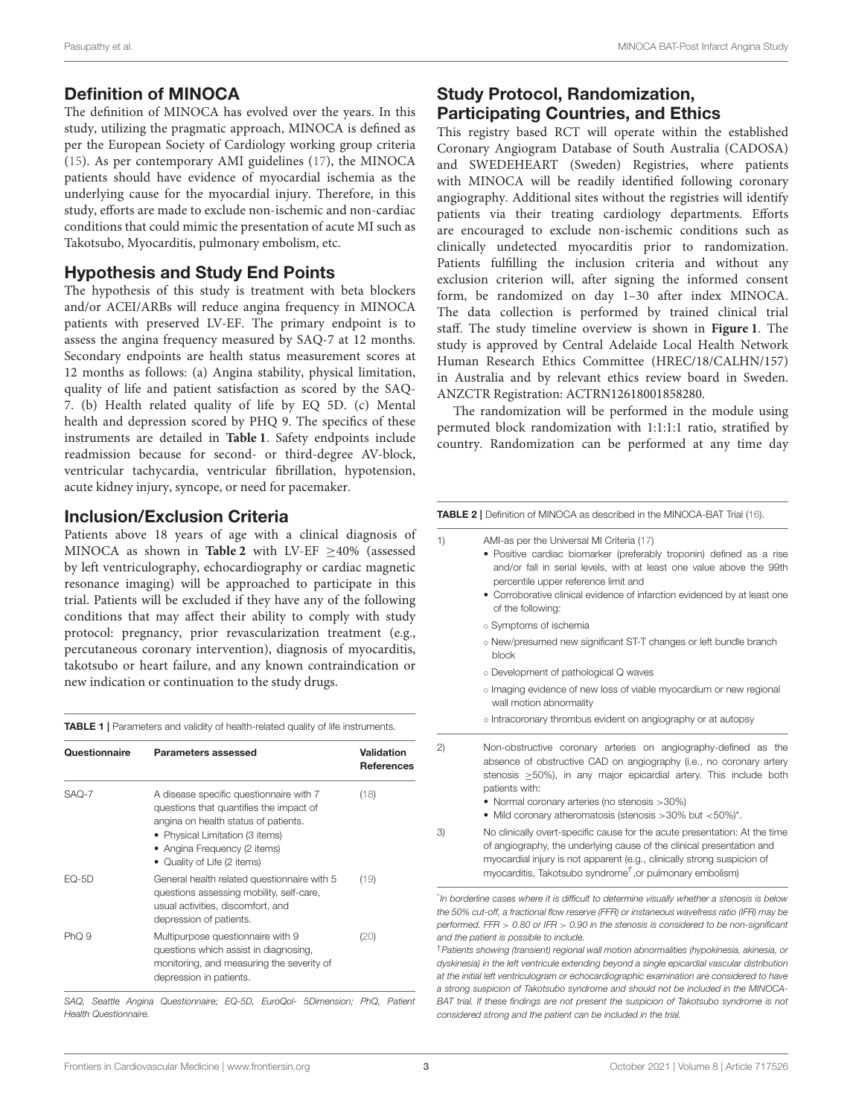#### Definition of MINOCA

The definition of MINOCA has evolved over the years. In this study, utilizing the pragmatic approach, MINOCA is defined as per the European Society of Cardiology working group criteria [\(15\)](#page-5-12). As per contemporary AMI guidelines [\(17\)](#page-6-0), the MINOCA patients should have evidence of myocardial ischemia as the underlying cause for the myocardial injury. Therefore, in this study, efforts are made to exclude non-ischemic and non-cardiac conditions that could mimic the presentation of acute MI such as Takotsubo, Myocarditis, pulmonary embolism, etc.

#### Hypothesis and Study End Points

The hypothesis of this study is treatment with beta blockers and/or ACEI/ARBs will reduce angina frequency in MINOCA patients with preserved LV-EF. The primary endpoint is to assess the angina frequency measured by SAQ-7 at 12 months. Secondary endpoints are health status measurement scores at 12 months as follows: (a) Angina stability, physical limitation, quality of life and patient satisfaction as scored by the SAQ-7. (b) Health related quality of life by EQ 5D. (c) Mental health and depression scored by PHQ 9. The specifics of these instruments are detailed in **[Table 1](#page-2-0)**. Safety endpoints include readmission because for second- or third-degree AV-block, ventricular tachycardia, ventricular fibrillation, hypotension, acute kidney injury, syncope, or need for pacemaker.

#### Inclusion/Exclusion Criteria

Patients above 18 years of age with a clinical diagnosis of MINOCA as shown in **[Table 2](#page-2-1)** with LV-EF ≥40% (assessed by left ventriculography, echocardiography or cardiac magnetic resonance imaging) will be approached to participate in this trial. Patients will be excluded if they have any of the following conditions that may affect their ability to comply with study protocol: pregnancy, prior revascularization treatment (e.g., percutaneous coronary intervention), diagnosis of myocarditis, takotsubo or heart failure, and any known contraindication or new indication or continuation to the study drugs.

<span id="page-2-0"></span>TABLE 1 | Parameters and validity of health-related quality of life instruments.

| Questionnaire | Parameters assessed                                                                                                                                                                                                          | Validation<br><b>References</b> |
|---------------|------------------------------------------------------------------------------------------------------------------------------------------------------------------------------------------------------------------------------|---------------------------------|
| $SAO-7$       | A disease specific questionnaire with 7<br>questions that quantifies the impact of<br>angina on health status of patients.<br>• Physical Limitation (3 items)<br>• Angina Frequency (2 items)<br>• Quality of Life (2 items) | (18)                            |
| $EQ-5D$       | General health related questionnaire with 5<br>questions assessing mobility, self-care,<br>usual activities, discomfort, and<br>depression of patients.                                                                      | (19)                            |
| PhO.9         | Multipurpose questionnaire with 9<br>questions which assist in diagnosing,<br>monitoring, and measuring the severity of<br>depression in patients.                                                                           | (20)                            |

SAQ, Seattle Angina Questionnaire; EQ-5D, EuroQol- 5Dimension; PhQ, Patient Health Questionnaire.

# Study Protocol, Randomization, Participating Countries, and Ethics

This registry based RCT will operate within the established Coronary Angiogram Database of South Australia (CADOSA) and SWEDEHEART (Sweden) Registries, where patients with MINOCA will be readily identified following coronary angiography. Additional sites without the registries will identify patients via their treating cardiology departments. Efforts are encouraged to exclude non-ischemic conditions such as clinically undetected myocarditis prior to randomization. Patients fulfilling the inclusion criteria and without any exclusion criterion will, after signing the informed consent form, be randomized on day 1–30 after index MINOCA. The data collection is performed by trained clinical trial staff. The study timeline overview is shown in **[Figure 1](#page-3-0)**. The study is approved by Central Adelaide Local Health Network Human Research Ethics Committee (HREC/18/CALHN/157) in Australia and by relevant ethics review board in Sweden. ANZCTR Registration: ACTRN12618001858280.

The randomization will be performed in the module using permuted block randomization with 1:1:1:1 ratio, stratified by country. Randomization can be performed at any time day

<span id="page-2-1"></span>

|    | TABLE 2   Definition of MINOCA as described in the MINOCA-BAT Trial (16).                                                                                                                                                                                                                                                                                                                                                                        |  |
|----|--------------------------------------------------------------------------------------------------------------------------------------------------------------------------------------------------------------------------------------------------------------------------------------------------------------------------------------------------------------------------------------------------------------------------------------------------|--|
| 1) | AMI-as per the Universal MI Criteria (17)<br>· Positive cardiac biomarker (preferably troponin) defined as a rise<br>and/or fall in serial levels, with at least one value above the 99th<br>percentile upper reference limit and<br>• Corroborative clinical evidence of infarction evidenced by at least one<br>of the following:                                                                                                              |  |
|    | o Symptoms of ischemia                                                                                                                                                                                                                                                                                                                                                                                                                           |  |
|    | o New/presumed new significant ST-T changes or left bundle branch<br>block                                                                                                                                                                                                                                                                                                                                                                       |  |
|    | o Development of pathological Q waves                                                                                                                                                                                                                                                                                                                                                                                                            |  |
|    | o Imaging evidence of new loss of viable myocardium or new regional<br>wall motion abnormality                                                                                                                                                                                                                                                                                                                                                   |  |
|    | o Intracoronary thrombus evident on angiography or at autopsy                                                                                                                                                                                                                                                                                                                                                                                    |  |
| 2) | Non-obstructive coronary arteries on angiography-defined as the<br>absence of obstructive CAD on angiography (i.e., no coronary artery<br>stenosis $\geq$ 50%), in any major epicardial artery. This include both<br>patients with:<br>• Normal coronary arteries (no stenosis > 30%)<br>• Mild coronary atheromatosis (stenosis $>30\%$ but $<50\%$ )*.                                                                                         |  |
| 3) | No clinically overt-specific cause for the acute presentation: At the time<br>of angiography, the underlying cause of the clinical presentation and<br>myocardial injury is not apparent (e.g., clinically strong suspicion of<br>myocarditis, Takotsubo syndrome <sup><math>\tau</math></sup> , or pulmonary embolism)                                                                                                                          |  |
|    | "In borderline cases where it is difficult to determine visually whether a stenosis is below<br>the 50% cut-off, a fractional flow reserve (FFR) or instaneous wavefress ratio (IFR) may be<br>performed. FFR $> 0.80$ or IFR $> 0.90$ in the stenosis is considered to be non-significant<br>and the patient is possible to include.<br><sup>†</sup> Patients showing (transient) regional wall motion abnormalities (hypokinesia, akinesia, or |  |

dyskinesia) in the left ventricule extending beyond a single epicardial vascular distribution at the initial left ventriculogram or echocardiographic examination are considered to have a strong suspicion of Takotsubo syndrome and should not be included in the MINOCA-BAT trial. If these findings are not present the suspicion of Takotsubo syndrome is not considered strong and the patient can be included in the trial.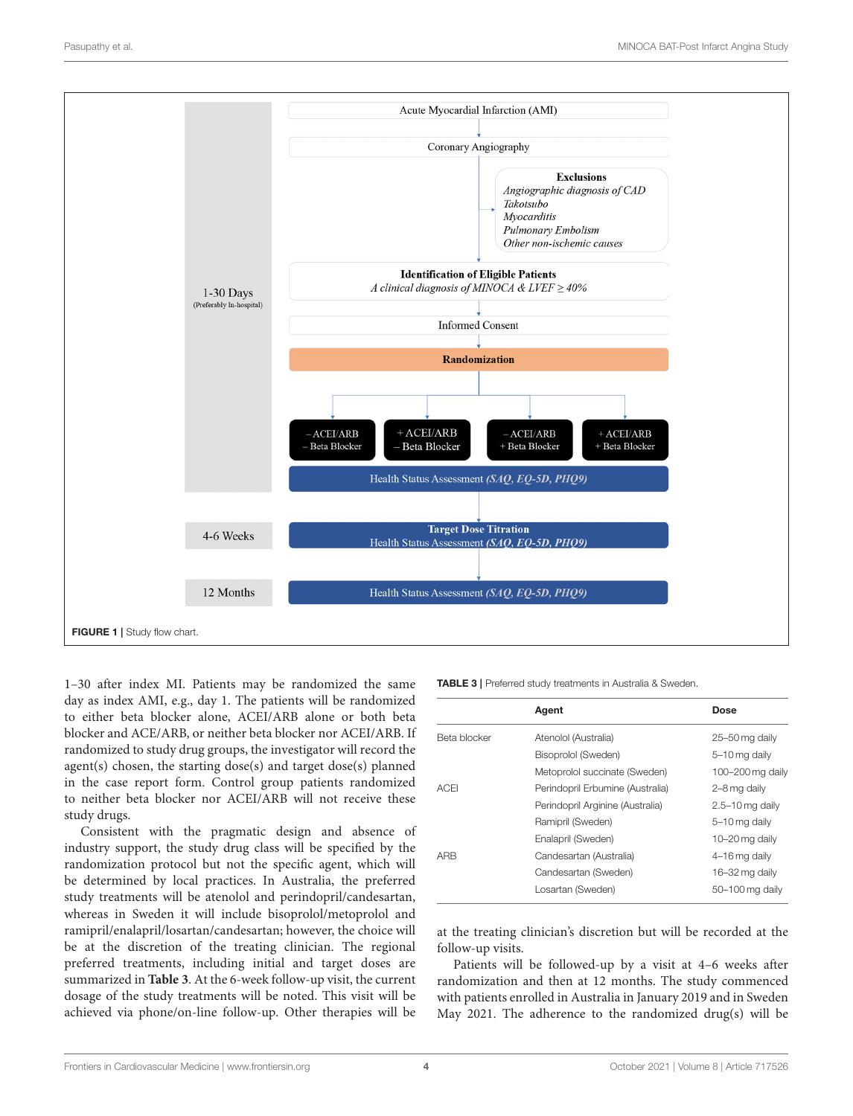

<span id="page-3-0"></span>1–30 after index MI. Patients may be randomized the same day as index AMI, e.g., day 1. The patients will be randomized to either beta blocker alone, ACEI/ARB alone or both beta blocker and ACE/ARB, or neither beta blocker nor ACEI/ARB. If randomized to study drug groups, the investigator will record the agent(s) chosen, the starting dose(s) and target dose(s) planned in the case report form. Control group patients randomized to neither beta blocker nor ACEI/ARB will not receive these study drugs.

Consistent with the pragmatic design and absence of industry support, the study drug class will be specified by the randomization protocol but not the specific agent, which will be determined by local practices. In Australia, the preferred study treatments will be atenolol and perindopril/candesartan, whereas in Sweden it will include bisoprolol/metoprolol and ramipril/enalapril/losartan/candesartan; however, the choice will be at the discretion of the treating clinician. The regional preferred treatments, including initial and target doses are summarized in **[Table 3](#page-3-1)**. At the 6-week follow-up visit, the current dosage of the study treatments will be noted. This visit will be achieved via phone/on-line follow-up. Other therapies will be <span id="page-3-1"></span>TABLE 3 | Preferred study treatments in Australia & Sweden.

|              | Agent                            | Dose                |
|--------------|----------------------------------|---------------------|
| Beta blocker | Atenolol (Australia)             | 25-50 mg daily      |
|              | Bisoprolol (Sweden)              | 5-10 mg daily       |
|              | Metoprolol succinate (Sweden)    | 100-200 mg daily    |
| <b>ACEI</b>  | Perindopril Erbumine (Australia) | 2-8 mg daily        |
|              | Perindopril Arginine (Australia) | $2.5 - 10$ mg daily |
|              | Ramipril (Sweden)                | 5-10 mg daily       |
|              | Enalapril (Sweden)               | 10-20 mg daily      |
| ARB          | Candesartan (Australia)          | 4-16 mg daily       |
|              | Candesartan (Sweden)             | 16-32 mg daily      |
|              | Losartan (Sweden)                | 50-100 mg daily     |
|              |                                  |                     |

at the treating clinician's discretion but will be recorded at the follow-up visits.

Patients will be followed-up by a visit at 4–6 weeks after randomization and then at 12 months. The study commenced with patients enrolled in Australia in January 2019 and in Sweden May 2021. The adherence to the randomized drug(s) will be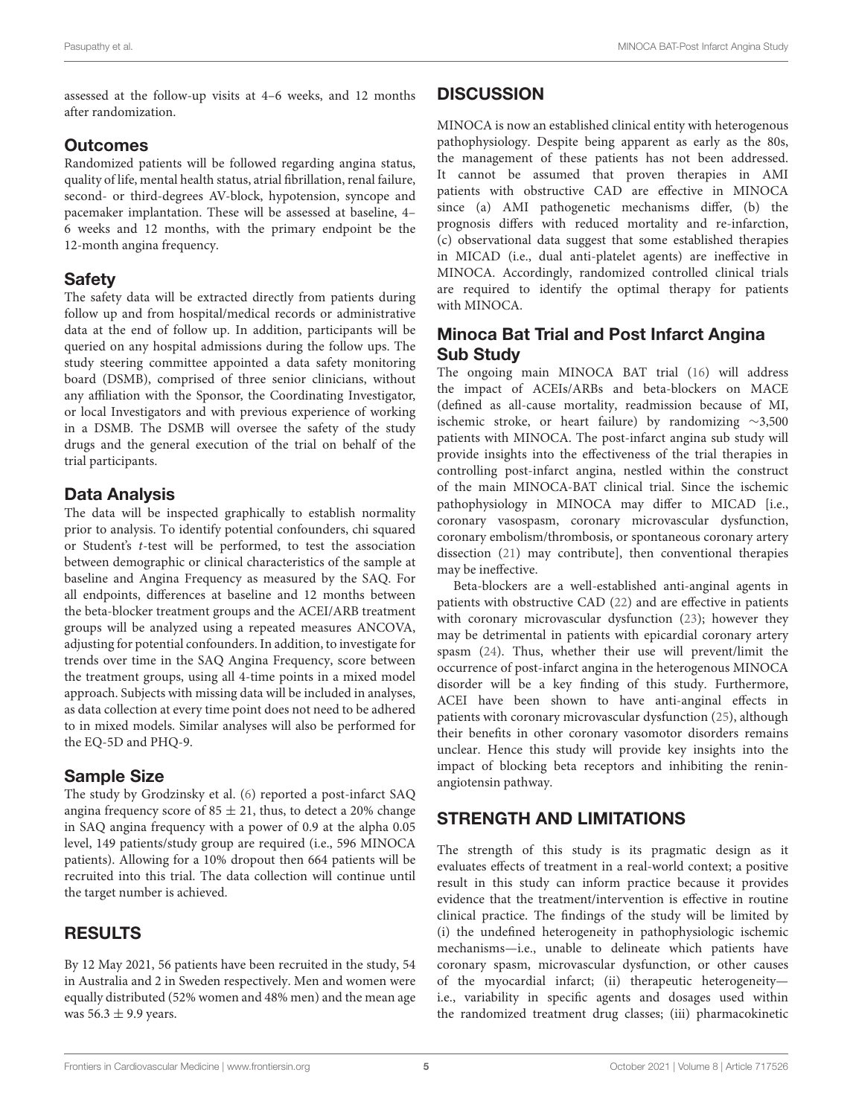assessed at the follow-up visits at 4–6 weeks, and 12 months after randomization.

## **Outcomes**

Randomized patients will be followed regarding angina status, quality of life, mental health status, atrial fibrillation, renal failure, second- or third-degrees AV-block, hypotension, syncope and pacemaker implantation. These will be assessed at baseline, 4– 6 weeks and 12 months, with the primary endpoint be the 12-month angina frequency.

## Safety

The safety data will be extracted directly from patients during follow up and from hospital/medical records or administrative data at the end of follow up. In addition, participants will be queried on any hospital admissions during the follow ups. The study steering committee appointed a data safety monitoring board (DSMB), comprised of three senior clinicians, without any affiliation with the Sponsor, the Coordinating Investigator, or local Investigators and with previous experience of working in a DSMB. The DSMB will oversee the safety of the study drugs and the general execution of the trial on behalf of the trial participants.

# Data Analysis

The data will be inspected graphically to establish normality prior to analysis. To identify potential confounders, chi squared or Student's t-test will be performed, to test the association between demographic or clinical characteristics of the sample at baseline and Angina Frequency as measured by the SAQ. For all endpoints, differences at baseline and 12 months between the beta-blocker treatment groups and the ACEI/ARB treatment groups will be analyzed using a repeated measures ANCOVA, adjusting for potential confounders. In addition, to investigate for trends over time in the SAQ Angina Frequency, score between the treatment groups, using all 4-time points in a mixed model approach. Subjects with missing data will be included in analyses, as data collection at every time point does not need to be adhered to in mixed models. Similar analyses will also be performed for the EQ-5D and PHQ-9.

# Sample Size

The study by Grodzinsky et al. [\(6\)](#page-5-5) reported a post-infarct SAQ angina frequency score of  $85 \pm 21$ , thus, to detect a 20% change in SAQ angina frequency with a power of 0.9 at the alpha 0.05 level, 149 patients/study group are required (i.e., 596 MINOCA patients). Allowing for a 10% dropout then 664 patients will be recruited into this trial. The data collection will continue until the target number is achieved.

# RESULTS

By 12 May 2021, 56 patients have been recruited in the study, 54 in Australia and 2 in Sweden respectively. Men and women were equally distributed (52% women and 48% men) and the mean age was  $56.3 \pm 9.9$  years.

# **DISCUSSION**

MINOCA is now an established clinical entity with heterogenous pathophysiology. Despite being apparent as early as the 80s, the management of these patients has not been addressed. It cannot be assumed that proven therapies in AMI patients with obstructive CAD are effective in MINOCA since (a) AMI pathogenetic mechanisms differ, (b) the prognosis differs with reduced mortality and re-infarction, (c) observational data suggest that some established therapies in MICAD (i.e., dual anti-platelet agents) are ineffective in MINOCA. Accordingly, randomized controlled clinical trials are required to identify the optimal therapy for patients with MINOCA.

# Minoca Bat Trial and Post Infarct Angina Sub Study

The ongoing main MINOCA BAT trial [\(16\)](#page-5-13) will address the impact of ACEIs/ARBs and beta-blockers on MACE (defined as all-cause mortality, readmission because of MI, ischemic stroke, or heart failure) by randomizing ∼3,500 patients with MINOCA. The post-infarct angina sub study will provide insights into the effectiveness of the trial therapies in controlling post-infarct angina, nestled within the construct of the main MINOCA-BAT clinical trial. Since the ischemic pathophysiology in MINOCA may differ to MICAD [i.e., coronary vasospasm, coronary microvascular dysfunction, coronary embolism/thrombosis, or spontaneous coronary artery dissection [\(21\)](#page-6-4) may contribute], then conventional therapies may be ineffective.

Beta-blockers are a well-established anti-anginal agents in patients with obstructive CAD [\(22\)](#page-6-5) and are effective in patients with coronary microvascular dysfunction [\(23\)](#page-6-6); however they may be detrimental in patients with epicardial coronary artery spasm [\(24\)](#page-6-7). Thus, whether their use will prevent/limit the occurrence of post-infarct angina in the heterogenous MINOCA disorder will be a key finding of this study. Furthermore, ACEI have been shown to have anti-anginal effects in patients with coronary microvascular dysfunction [\(25\)](#page-6-8), although their benefits in other coronary vasomotor disorders remains unclear. Hence this study will provide key insights into the impact of blocking beta receptors and inhibiting the reninangiotensin pathway.

# STRENGTH AND LIMITATIONS

The strength of this study is its pragmatic design as it evaluates effects of treatment in a real-world context; a positive result in this study can inform practice because it provides evidence that the treatment/intervention is effective in routine clinical practice. The findings of the study will be limited by (i) the undefined heterogeneity in pathophysiologic ischemic mechanisms—i.e., unable to delineate which patients have coronary spasm, microvascular dysfunction, or other causes of the myocardial infarct; (ii) therapeutic heterogeneity i.e., variability in specific agents and dosages used within the randomized treatment drug classes; (iii) pharmacokinetic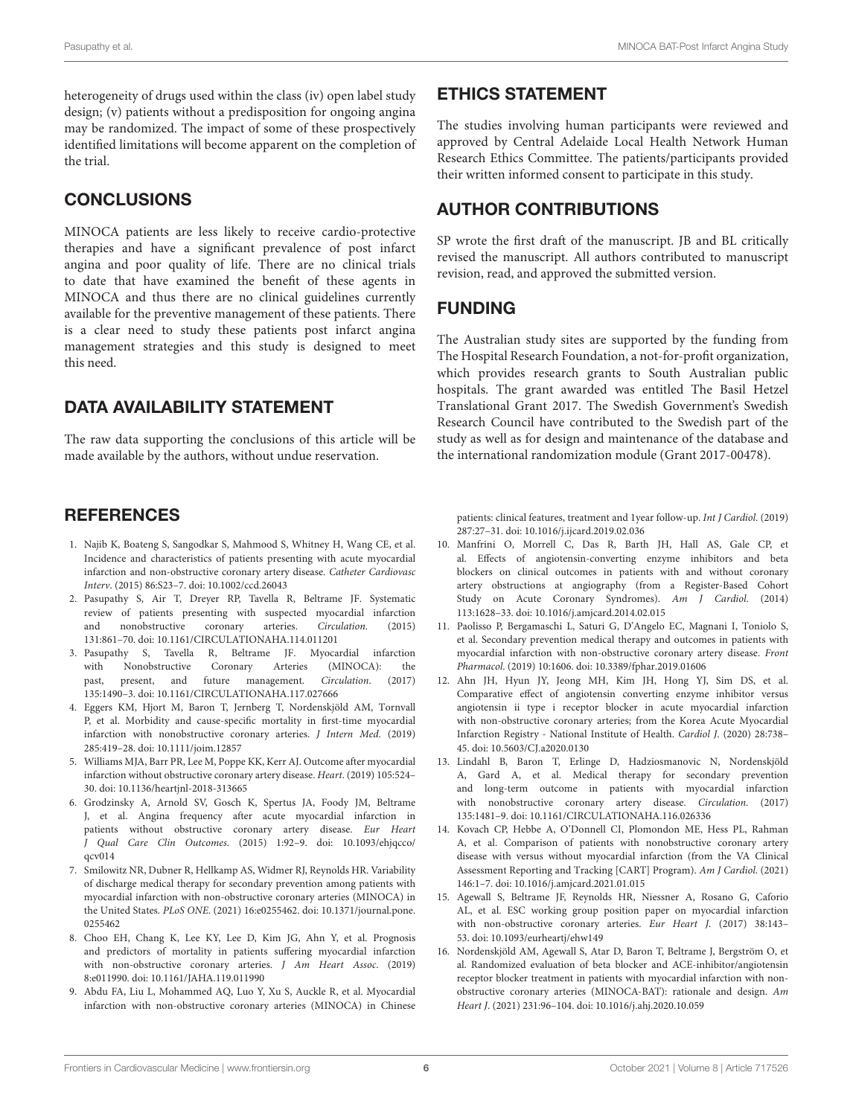heterogeneity of drugs used within the class (iv) open label study design; (v) patients without a predisposition for ongoing angina may be randomized. The impact of some of these prospectively identified limitations will become apparent on the completion of the trial.

## **CONCLUSIONS**

MINOCA patients are less likely to receive cardio-protective therapies and have a significant prevalence of post infarct angina and poor quality of life. There are no clinical trials to date that have examined the benefit of these agents in MINOCA and thus there are no clinical guidelines currently available for the preventive management of these patients. There is a clear need to study these patients post infarct angina management strategies and this study is designed to meet this need.

### DATA AVAILABILITY STATEMENT

The raw data supporting the conclusions of this article will be made available by the authors, without undue reservation.

#### **REFERENCES**

- <span id="page-5-0"></span>1. Najib K, Boateng S, Sangodkar S, Mahmood S, Whitney H, Wang CE, et al. Incidence and characteristics of patients presenting with acute myocardial infarction and non-obstructive coronary artery disease. Catheter Cardiovasc Interv. (2015) 86:S23–7. doi: [10.1002/ccd.26043](https://doi.org/10.1002/ccd.26043)
- <span id="page-5-1"></span>2. Pasupathy S, Air T, Dreyer RP, Tavella R, Beltrame JF. Systematic review of patients presenting with suspected myocardial infarction<br>and nonobstructive coronary arteries Circulation (2015) coronary arteries. 131:861–70. doi: [10.1161/CIRCULATIONAHA.114.011201](https://doi.org/10.1161/CIRCULATIONAHA.114.011201)
- <span id="page-5-2"></span>3. Pasupathy S, Tavella R, Beltrame JF. Myocardial infarction with Nonobstructive Coronary Arteries (MINOCA): the past, present, and future management. Circulation. (2017) 135:1490–3. doi: [10.1161/CIRCULATIONAHA.117.027666](https://doi.org/10.1161/CIRCULATIONAHA.117.027666)
- <span id="page-5-3"></span>4. Eggers KM, Hjort M, Baron T, Jernberg T, Nordenskjöld AM, Tornvall P, et al. Morbidity and cause-specific mortality in first-time myocardial infarction with nonobstructive coronary arteries. J Intern Med. (2019) 285:419–28. doi: [10.1111/joim.12857](https://doi.org/10.1111/joim.12857)
- <span id="page-5-4"></span>5. Williams MJA, Barr PR, Lee M, Poppe KK, Kerr AJ. Outcome after myocardial infarction without obstructive coronary artery disease. Heart. (2019) 105:524– 30. doi: [10.1136/heartjnl-2018-313665](https://doi.org/10.1136/heartjnl-2018-313665)
- <span id="page-5-5"></span>6. Grodzinsky A, Arnold SV, Gosch K, Spertus JA, Foody JM, Beltrame J, et al. Angina frequency after acute myocardial infarction in patients without obstructive coronary artery disease. Eur Heart J Qual Care Clin Outcomes[. \(2015\) 1:92–9. doi: 10.1093/ehjqcco/](https://doi.org/10.1093/ehjqcco/qcv014)  $acv014$
- <span id="page-5-6"></span>7. Smilowitz NR, Dubner R, Hellkamp AS, Widmer RJ, Reynolds HR. Variability of discharge medical therapy for secondary prevention among patients with myocardial infarction with non-obstructive coronary arteries (MINOCA) in the United States. PLoS ONE[. \(2021\) 16:e0255462. doi: 10.1371/journal.pone.](https://doi.org/10.1371/journal.pone.0255462) 0255462
- 8. Choo EH, Chang K, Lee KY, Lee D, Kim JG, Ahn Y, et al. Prognosis and predictors of mortality in patients suffering myocardial infarction with non-obstructive coronary arteries. J Am Heart Assoc. (2019) 8:e011990. doi: [10.1161/JAHA.119.011990](https://doi.org/10.1161/JAHA.119.011990)
- <span id="page-5-7"></span>9. Abdu FA, Liu L, Mohammed AQ, Luo Y, Xu S, Auckle R, et al. Myocardial infarction with non-obstructive coronary arteries (MINOCA) in Chinese

## ETHICS STATEMENT

The studies involving human participants were reviewed and approved by Central Adelaide Local Health Network Human Research Ethics Committee. The patients/participants provided their written informed consent to participate in this study.

## AUTHOR CONTRIBUTIONS

SP wrote the first draft of the manuscript. JB and BL critically revised the manuscript. All authors contributed to manuscript revision, read, and approved the submitted version.

### FUNDING

The Australian study sites are supported by the funding from The Hospital Research Foundation, a not-for-profit organization, which provides research grants to South Australian public hospitals. The grant awarded was entitled The Basil Hetzel Translational Grant 2017. The Swedish Government's Swedish Research Council have contributed to the Swedish part of the study as well as for design and maintenance of the database and the international randomization module (Grant 2017-00478).

patients: clinical features, treatment and 1year follow-up. Int J Cardiol. (2019) 287:27–31. doi: [10.1016/j.ijcard.2019.02.036](https://doi.org/10.1016/j.ijcard.2019.02.036)

- <span id="page-5-8"></span>10. Manfrini O, Morrell C, Das R, Barth JH, Hall AS, Gale CP, et al. Effects of angiotensin-converting enzyme inhibitors and beta blockers on clinical outcomes in patients with and without coronary artery obstructions at angiography (from a Register-Based Cohort Study on Acute Coronary Syndromes). Am J Cardiol. (2014) 113:1628–33. doi: [10.1016/j.amjcard.2014.02.015](https://doi.org/10.1016/j.amjcard.2014.02.015)
- <span id="page-5-10"></span>11. Paolisso P, Bergamaschi L, Saturi G, D'Angelo EC, Magnani I, Toniolo S, et al. Secondary prevention medical therapy and outcomes in patients with myocardial infarction with non-obstructive coronary artery disease. Front Pharmacol. (2019) 10:1606. doi: [10.3389/fphar.2019.01606](https://doi.org/10.3389/fphar.2019.01606)
- 12. Ahn JH, Hyun JY, Jeong MH, Kim JH, Hong YJ, Sim DS, et al. Comparative effect of angiotensin converting enzyme inhibitor versus angiotensin ii type i receptor blocker in acute myocardial infarction with non-obstructive coronary arteries; from the Korea Acute Myocardial Infarction Registry - National Institute of Health. Cardiol J. (2020) 28:738– 45. doi: [10.5603/CJ.a2020.0130](https://doi.org/10.5603/CJ.a2020.0130)
- <span id="page-5-9"></span>13. Lindahl B, Baron T, Erlinge D, Hadziosmanovic N, Nordenskjöld A, Gard A, et al. Medical therapy for secondary prevention and long-term outcome in patients with myocardial infarction with nonobstructive coronary artery disease. Circulation. (2017) 135:1481–9. doi: [10.1161/CIRCULATIONAHA.116.026336](https://doi.org/10.1161/CIRCULATIONAHA.116.026336)
- <span id="page-5-11"></span>14. Kovach CP, Hebbe A, O'Donnell CI, Plomondon ME, Hess PL, Rahman A, et al. Comparison of patients with nonobstructive coronary artery disease with versus without myocardial infarction (from the VA Clinical Assessment Reporting and Tracking [CART] Program). Am J Cardiol. (2021) 146:1–7. doi: [10.1016/j.amjcard.2021.01.015](https://doi.org/10.1016/j.amjcard.2021.01.015)
- <span id="page-5-12"></span>15. Agewall S, Beltrame JF, Reynolds HR, Niessner A, Rosano G, Caforio AL, et al. ESC working group position paper on myocardial infarction with non-obstructive coronary arteries. Eur Heart J. (2017) 38:143– 53. doi: [10.1093/eurheartj/ehw149](https://doi.org/10.1093/eurheartj/ehw149)
- <span id="page-5-13"></span>16. Nordenskjöld AM, Agewall S, Atar D, Baron T, Beltrame J, Bergström O, et al. Randomized evaluation of beta blocker and ACE-inhibitor/angiotensin receptor blocker treatment in patients with myocardial infarction with nonobstructive coronary arteries (MINOCA-BAT): rationale and design. Am Heart J. (2021) 231:96–104. doi: [10.1016/j.ahj.2020.10.059](https://doi.org/10.1016/j.ahj.2020.10.059)